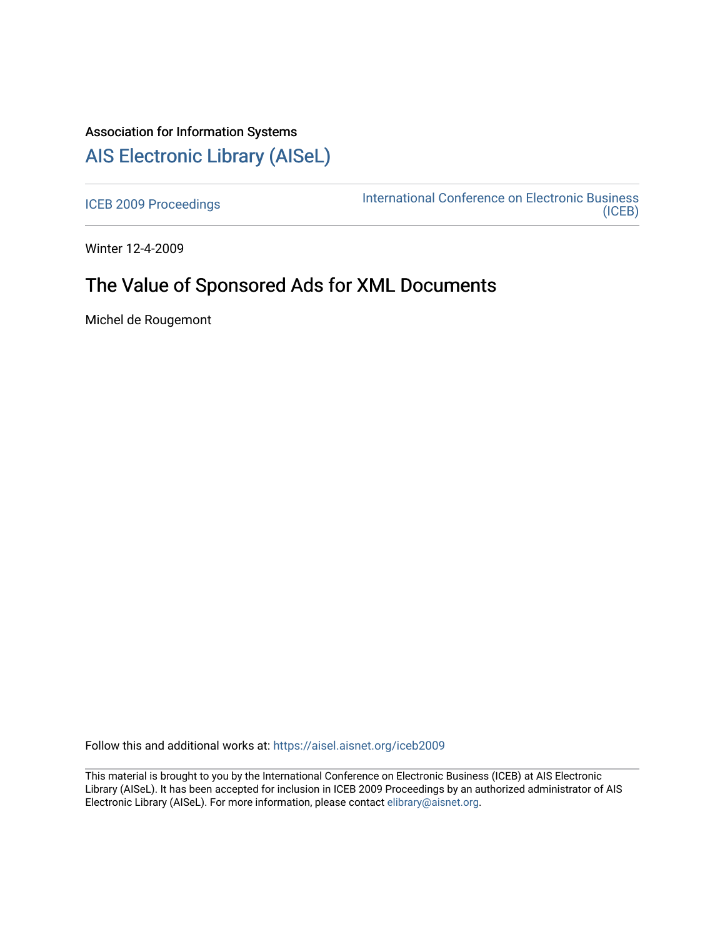## Association for Information Systems [AIS Electronic Library \(AISeL\)](https://aisel.aisnet.org/)

[ICEB 2009 Proceedings](https://aisel.aisnet.org/iceb2009) **International Conference on Electronic Business** [\(ICEB\)](https://aisel.aisnet.org/iceb) 

Winter 12-4-2009

# The Value of Sponsored Ads for XML Documents

Michel de Rougemont

Follow this and additional works at: [https://aisel.aisnet.org/iceb2009](https://aisel.aisnet.org/iceb2009?utm_source=aisel.aisnet.org%2Ficeb2009%2F103&utm_medium=PDF&utm_campaign=PDFCoverPages)

This material is brought to you by the International Conference on Electronic Business (ICEB) at AIS Electronic Library (AISeL). It has been accepted for inclusion in ICEB 2009 Proceedings by an authorized administrator of AIS Electronic Library (AISeL). For more information, please contact [elibrary@aisnet.org.](mailto:elibrary@aisnet.org%3E)